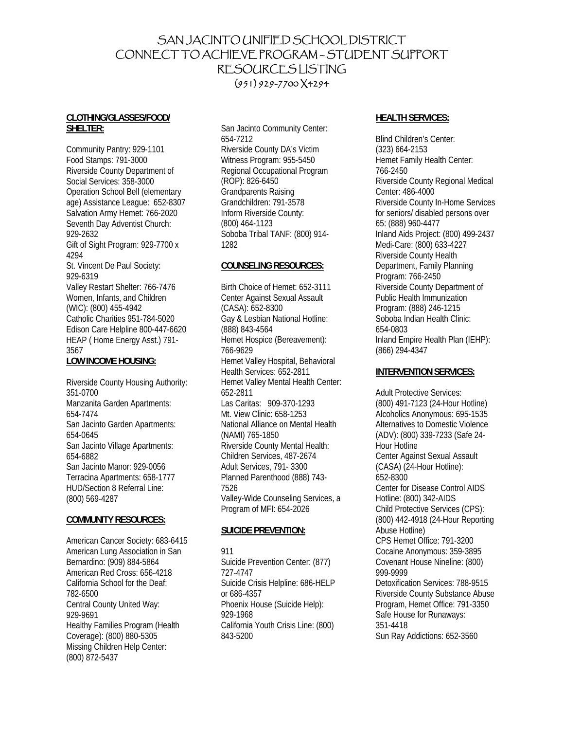# SAN JACINTO UNIFIED SCHOOL DISTRICT CONNECT TO ACHIEVE PROGRAM – STUDENT SUPPORT RESOURCES LISTING (951) 929-7700 X4294

### **CLOTHING/GLASSES/FOOD/ SHELTER:**

Community Pantry: 929-1101 Food Stamps: 791-3000 Riverside County Department of Social Services: 358-3000 Operation School Bell (elementary age) Assistance League: 652-8307 Salvation Army Hemet: 766-2020 Seventh Day Adventist Church: 929-2632 Gift of Sight Program: 929-7700 x 4294 St. Vincent De Paul Society: 929-6319 Valley Restart Shelter: 766-7476 Women, Infants, and Children (WIC): (800) 455-4942 Catholic Charities 951-784-5020 Edison Care Helpline 800-447-6620 HEAP ( Home Energy Asst.) 791- 3567 **LOW INCOME HOUSING:**

#### Riverside County Housing Authority: 351-0700 Manzanita Garden Apartments: 654-7474 San Jacinto Garden Apartments: 654-0645 San Jacinto Village Apartments: 654-6882 San Jacinto Manor: 929-0056 Terracina Apartments: 658-1777 HUD/Section 8 Referral Line: (800) 569-4287

### **COMMUNITY RESOURCES:**

American Cancer Society: 683-6415 American Lung Association in San Bernardino: (909) 884-5864 American Red Cross: 656-4218 California School for the Deaf: 782-6500 Central County United Way: 929-9691 Healthy Families Program (Health Coverage): (800) 880-5305 Missing Children Help Center: (800) 872-5437

San Jacinto Community Center: 654-7212 Riverside County DA's Victim Witness Program: 955-5450 Regional Occupational Program (ROP): 826-6450 Grandparents Raising Grandchildren: 791-3578 Inform Riverside County: (800) 464-1123 Soboba Tribal TANF: (800) 914- 1282

### **COUNSELING RESOURCES:**

Birth Choice of Hemet: 652-3111 Center Against Sexual Assault (CASA): 652-8300 Gay & Lesbian National Hotline: (888) 843-4564 Hemet Hospice (Bereavement): 766-9629 Hemet Valley Hospital, Behavioral Health Services: 652-2811 Hemet Valley Mental Health Center: 652-2811 Las Caritas: 909-370-1293 Mt. View Clinic: 658-1253 National Alliance on Mental Health (NAMI) 765-1850 Riverside County Mental Health: Children Services, 487-2674 Adult Services, 791- 3300 Planned Parenthood (888) 743- 7526 Valley-Wide Counseling Services, a Program of MFI: 654-2026

## **SUICIDE PREVENTION:**

### 911 Suicide Prevention Center: (877) 727-4747 Suicide Crisis Helpline: 686-HELP or 686-4357 Phoenix House (Suicide Help): 929-1968 California Youth Crisis Line: (800) 843-5200

### **HEALTH SERVICES:**

Blind Children's Center: (323) 664-2153 Hemet Family Health Center: 766-2450 Riverside County Regional Medical Center: 486-4000 Riverside County In-Home Services for seniors/ disabled persons over 65: (888) 960-4477 Inland Aids Project: (800) 499-2437 Medi-Care: (800) 633-4227 Riverside County Health Department, Family Planning Program: 766-2450 Riverside County Department of Public Health Immunization Program: (888) 246-1215 Soboba Indian Health Clinic: 654-0803 Inland Empire Health Plan (IEHP): (866) 294-4347

## **INTERVENTION SERVICES:**

Adult Protective Services: (800) 491-7123 (24-Hour Hotline) Alcoholics Anonymous: 695-1535 Alternatives to Domestic Violence (ADV): (800) 339-7233 (Safe 24- Hour Hotline Center Against Sexual Assault (CASA) (24-Hour Hotline): 652-8300 Center for Disease Control AIDS Hotline: (800) 342-AIDS Child Protective Services (CPS): (800) 442-4918 (24-Hour Reporting Abuse Hotline) CPS Hemet Office: 791-3200 Cocaine Anonymous: 359-3895 Covenant House Nineline: (800) 999-9999 Detoxification Services: 788-9515 Riverside County Substance Abuse Program, Hemet Office: 791-3350 Safe House for Runaways: 351-4418 Sun Ray Addictions: 652-3560